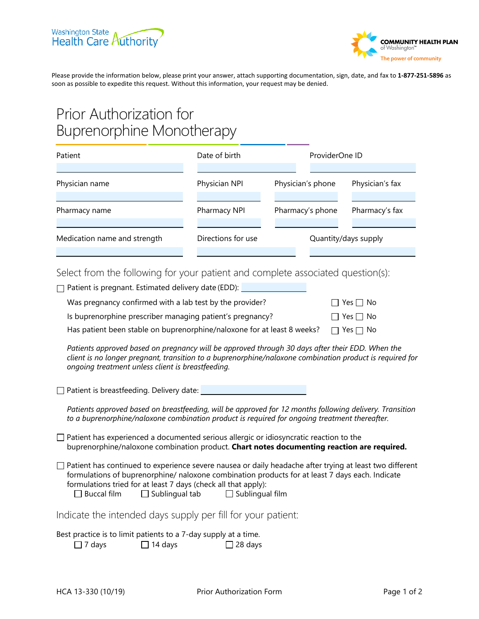



Please provide the information below, please print your answer, attach supporting documentation, sign, date, and fax to **1-877-251-5896** as soon as possible to expedite this request. Without this information, your request may be denied.

## Prior Authorization for Buprenorphine Monotherapy

| Patient                      | Date of birth      | ProviderOne ID       |                 |
|------------------------------|--------------------|----------------------|-----------------|
|                              |                    |                      |                 |
| Physician name               | Physician NPI      | Physician's phone    | Physician's fax |
|                              |                    |                      |                 |
| Pharmacy name                | Pharmacy NPI       | Pharmacy's phone     | Pharmacy's fax  |
|                              |                    |                      |                 |
| Medication name and strength | Directions for use | Quantity/days supply |                 |
|                              |                    |                      |                 |

Select from the following for your patient and complete associated question(s):

| Patient is pregnant. Estimated delivery date (EDD): __________                                                                                                                                                                                                                                                                                               |                      |  |  |  |
|--------------------------------------------------------------------------------------------------------------------------------------------------------------------------------------------------------------------------------------------------------------------------------------------------------------------------------------------------------------|----------------------|--|--|--|
| Was pregnancy confirmed with a lab test by the provider?                                                                                                                                                                                                                                                                                                     | $\Box$ Yes $\Box$ No |  |  |  |
| Is buprenorphine prescriber managing patient's pregnancy?                                                                                                                                                                                                                                                                                                    | $\Box$ Yes $\Box$ No |  |  |  |
| Has patient been stable on buprenorphine/naloxone for at least 8 weeks?                                                                                                                                                                                                                                                                                      | $\Box$ Yes $\Box$ No |  |  |  |
| Patients approved based on pregnancy will be approved through 30 days after their EDD. When the<br>client is no longer pregnant, transition to a buprenorphine/naloxone combination product is required for<br>ongoing treatment unless client is breastfeeding.                                                                                             |                      |  |  |  |
| Patient is breastfeeding. Delivery date: __________                                                                                                                                                                                                                                                                                                          |                      |  |  |  |
| Patients approved based on breastfeeding, will be approved for 12 months following delivery. Transition<br>to a buprenorphine/naloxone combination product is required for ongoing treatment thereafter.                                                                                                                                                     |                      |  |  |  |
| $\Box$ Patient has experienced a documented serious allergic or idiosyncratic reaction to the<br>buprenorphine/naloxone combination product. Chart notes documenting reaction are required.                                                                                                                                                                  |                      |  |  |  |
| $\Box$ Patient has continued to experience severe nausea or daily headache after trying at least two different<br>formulations of buprenorphine/ naloxone combination products for at least 7 days each. Indicate<br>formulations tried for at least 7 days (check all that apply):<br>$\square$ Buccal film<br>$\Box$ Sublingual tab $\Box$ Sublingual film |                      |  |  |  |
| Indicate the intended days supply per fill for your patient:                                                                                                                                                                                                                                                                                                 |                      |  |  |  |
| Best practice is to limit patients to a 7-day supply at a time.<br>$\Box$ 14 days<br>$\Box$ 7 days<br>$\Box$ 28 days                                                                                                                                                                                                                                         |                      |  |  |  |
|                                                                                                                                                                                                                                                                                                                                                              |                      |  |  |  |